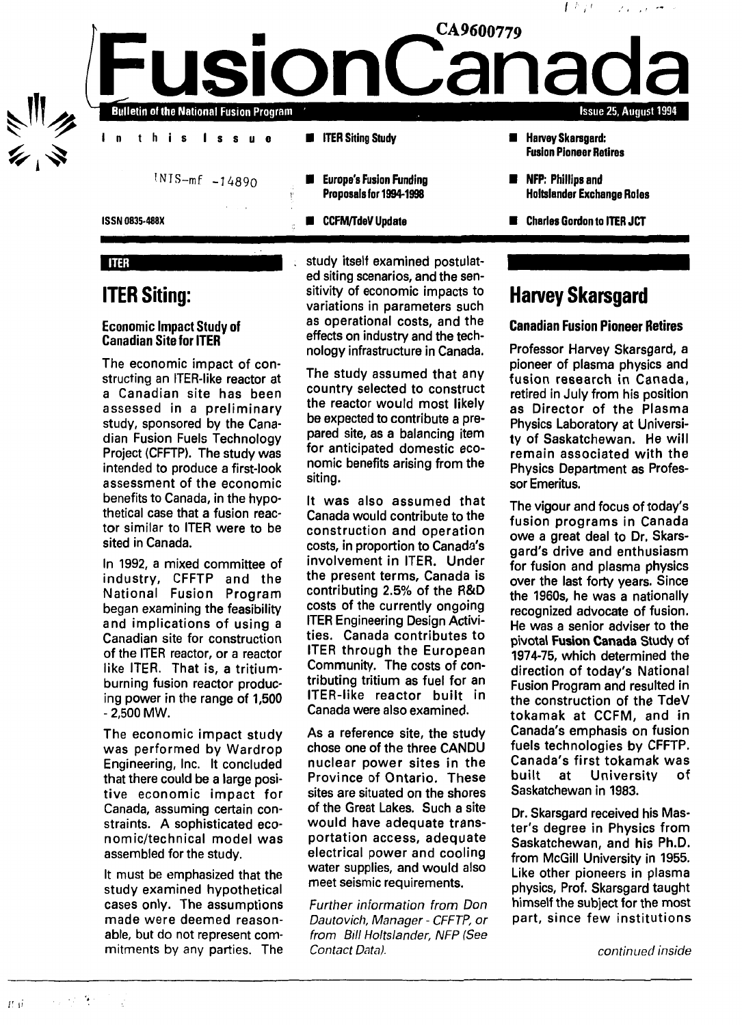

### **ITER**

### **ITER Siting:**

### Economic Impact Study of Canadian Site for ITER

The economic impact of constructing an ITER-like reactor at a Canadian site has been assessed in a preliminary study, sponsored by the Canadian Fusion Fuels Technology Project (CFFTP). The study was intended to produce a first-look assessment of the economic benefits to Canada, in the hypothetical case that a fusion reactor similar to ITER were to be sited in Canada.

In 1992, a mixed committee of industry, CFFTP and the National Fusion Program began examining the feasibility and implications of using a Canadian site for construction of the ITER reactor, or a reactor like ITER. That is, a tritiumburning fusion reactor producing power in the range of 1,500 - 2,500 MW.

The economic impact study was performed by Wardrop Engineering, Inc. It concluded that there could be a large positive economic impact for Canada, assuming certain constraints. A sophisticated economic/technical model was assembled for the study.

It must be emphasized that the study examined hypothetical cases only. The assumptions made were deemed reasonable, but do not represent commitments by any parties. The study itself examined postulated siting scenarios, and the sensitivity of economic impacts to variations in parameters such as operational costs, and the effects on industry and the technology infrastructure in Canada.

The study assumed that any country selected to construct the reactor would most likely be expected to contribute a prepared site, as a balancing item for anticipated domestic economic benefits arising from the siting.

It was also assumed that Canada would contribute to the construction and operation costs, in proportion to Canada's involvement in ITER. Under the present terms, Canada is contributing 2.5% of the R&D costs of the currently ongoing ITER Engineering Design Activities. Canada contributes to ITER through the European Community. The costs of contributing tritium as fuel for an ITER-like reactor built in Canada were also examined.

As a reference site, the study chose one of the three CANDU nuclear power sites in the Province of Ontario. These sites are situated on the shores of the Great Lakes. Such a site would have adequate transportation access, adequate electrical power and cooling water supplies, and would also meet seismic requirements.

Further information from Don Dautovich, Manager - CFFTP, or from Bill Holtslander, NFP (See Contact Data).

# **Harvey Skarsgard**

### **Canadian Fusion Pioneer Retires**

Professor Harvey Skarsgard, a pioneer of plasma physics and fusion research in Canada, retired in July from his position as Director of the Plasma Physics Laboratory at University of Saskatchewan. He will remain associated with the Physics Department as Professor Emeritus.

The vigour and focus of today's fusion programs in Canada owe a great deal to Dr. Skarsgard's drive and enthusiasm for fusion and plasma physics over the last forty years. Since the 1960s, he was a nationally recognized advocate of fusion. He was a senior adviser to the pivotal Fusion Canada Study of 1974-75, which determined the direction of today's National Fusion Program and resulted in the construction of the TdeV tokamak at CCFM, and in Canada's emphasis on fusion fuels technologies by CFFTP. Canada's first tokamak was built at University of Saskatchewan in 1983.

Dr. Skarsgard received his Master's degree in Physics from Saskatchewan, and his Ph.D. from McGill University in 1955. Like other pioneers in plasma physics, Prof. Skarsgard taught himself the subject for the most part, since few institutions

continued inside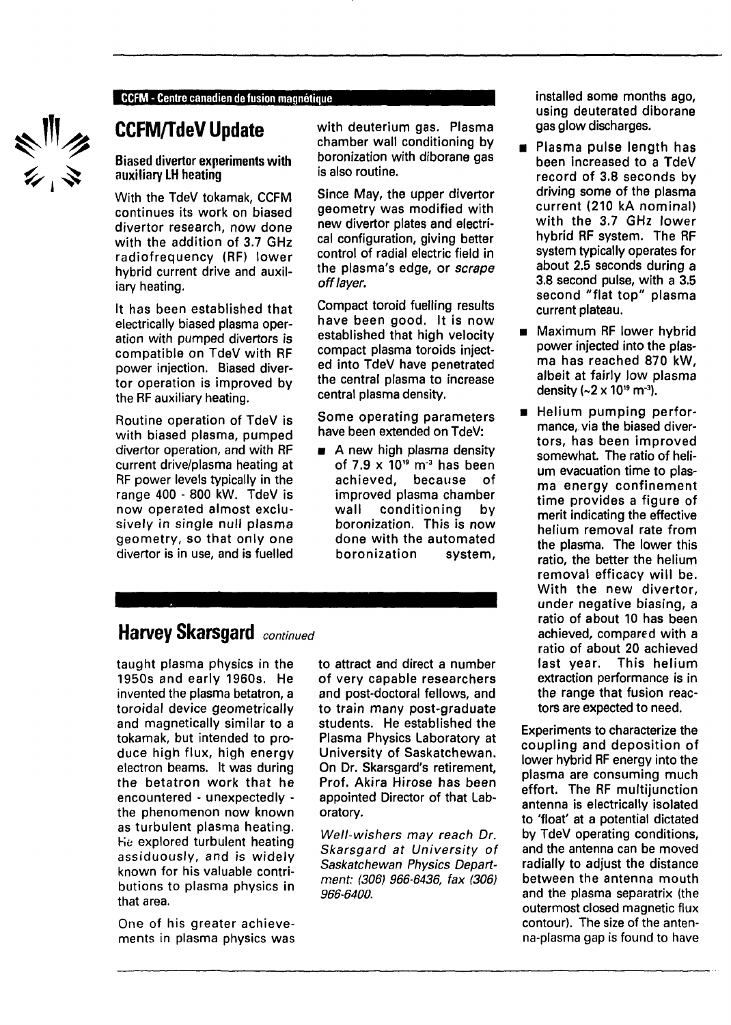### CCFM - Centre canadien de fusion magnétique

《三分》

# **CCFM/TdeV Update**

### Biased divertor experiments with auxiliary LH heating

With the TdeV tokamak, CCFM continues its work on biased divertor research, now done with the addition of 3.7 GHz radiofrequency (RF) lower hybrid current drive and auxiliary heating.

It has been established that electrically biased plasma operation with pumped divertors is compatible on TdeV with RF power injection. Biased divertor operation is improved by the RF auxiliary heating.

Routine operation of TdeV is with biased plasma, pumped divertor operation, and with RF current drive/plasma heating at RF power levels typically in the range 400 - 800 kW. TdeV is now operated almost exclusively in single null plasma geometry, so that only one divertor is in use, and is fuelled with deuterium gas. Plasma chamber wall conditioning by boronization with diborane gas is also routine.

Since May, the upper divertor geometry was modified with new divertor plates and electrical configuration, giving better control of radial electric field in the plasma's edge, or scrape off layer.

Compact toroid fuelling results have been good. It is now established that high velocity compact plasma toroids injected into TdeV have penetrated the central plasma to increase central plasma density.

Some operating parameters have been extended on TdeV:

**a** A new high plasma density of 7.9  $\times$  10" m $^{\text{-3}}$  has been achieved, because of improved plasma chamber wall conditioning by boronization. This is now done with the automated boronization system,

## **Harvey Skarsgard** continued

taught plasma physics in the 1950s and early 1960s. He invented the plasma betatron, a toroidal device geometrically and magnetically similar to a tokamak, but intended to produce high flux, high energy electron beams. It was during the betatron work that he encountered - unexpectedly the phenomenon now known as turbulent plasma heating. He explored turbulent heating assiduously, and is widely known for his valuable contributions to plasma physics in that area.

One of his greater achievements in plasma physics was to attract and direct a number of very capable researchers and post-doctoral fellows, and to train many post-graduate students. He established the Plasma Physics Laboratory at University of Saskatchewan. On Dr. Skarsgard's retirement, Prof. Akira Hirose has been appointed Director of that Laboratory.

Well-wishers may reach Dr. Skarsgard at University of Saskatchewan Physics Department: (306) 966-6436, fax (306) 966-6400.

installed some months ago, using deuterated diborane gas glow discharges.

- Plasma pulse length has been increased to a TdeV record of 3.8 seconds by driving some of the plasma current (210 kA nominal) with the 3.7 GHz lower hybrid RF system. The RF system typically operates for about 2.5 seconds during a 3.8 second pulse, with a 3.5 second "flat top" plasma current plateau.
- Maximum RF lower hybrid power injected into the plasma has reached 870 kW, albeit at fairly low plasma density (~2 x 1019 m<sup>-3</sup>).
- **B** Helium pumping performance, via the biased divertors, has been improved somewhat. The ratio of helium evacuation time to plasma energy confinement time provides a figure of merit indicating the effective helium removal rate from the plasma. The lower this ratio, the better the helium removal efficacy will be. With the new divertor, under negative biasing, a ratio of about 10 has been achieved, compared with a ratio of about 20 achieved last year. This helium extraction performance is in the range that fusion reactors are expected to need.

Experiments to characterize the coupling and deposition of lower hybrid RF energy into the plasma are consuming much effort. The RF multijunction antenna is electrically isolated to 'float' at a potential dictated by TdeV operating conditions, and the antenna can be moved radially to adjust the distance between the antenna mouth and the plasma separatrix (the outermost closed magnetic flux contour). The size of the antenna-plasma gap is found to have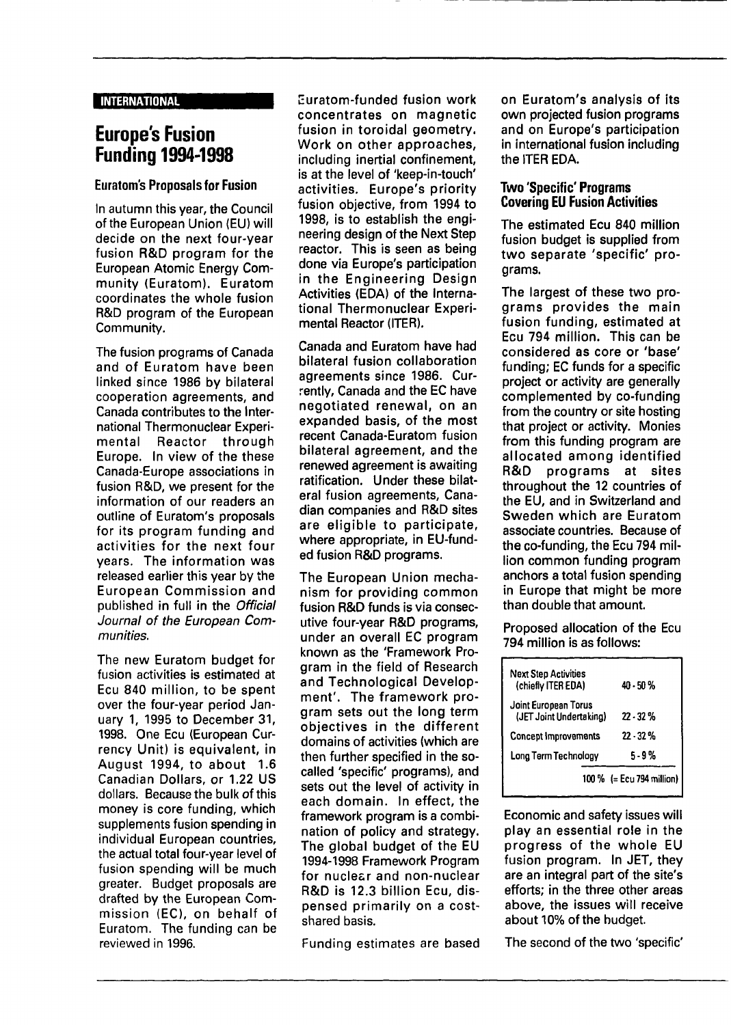#### INTERNATIONAL

## **Europe's Fusion Funding 1994-1998**

### **Euratom's Proposals for Fusion**

In autumn this year, the Council of the European Union (EU) will decide on the next four-year fusion R&D program for the European Atomic Energy Community (Euratom). Euratom coordinates the whole fusion R&D program of the European Community.

The fusion programs of Canada and of Euratom have been linked since 1986 by bilateral cooperation agreements, and Canada contributes to the International Thermonuclear Experimental Reactor through Europe. In view of the these Canada-Europe associations in fusion R&D, we present for the information of our readers an outline of Euratom's proposals for its program funding and activities for the next four years. The information was released earlier this year by the European Commission and published in full in the Official Journal of the European Communities.

The new Euratom budget for fusion activities is estimated at Ecu 840 million, to be spent over the four-year period January 1, 1995 to December 31, 1998. One Ecu (European Currency Unit) is equivalent, in August 1994, to about 1.6 Canadian Dollars, or 1.22 US dollars. Because the bulk of this money is core funding, which supplements fusion spending in individual European countries, the actual total four-year level of fusion spending will be much greater. Budget proposals are drafted by the European Commission (EC), on behalf of Euratom. The funding can be reviewed in 1996.

Euratom-funded fusion work concentrates on magnetic fusion in toroidal geometry. Work on other approaches, including inertial confinement, is at the level of 'keep-in-touch' activities. Europe's priority fusion objective, from 1994 to 1998, is to establish the engineering design of the Next Step reactor. This is seen as being done via Europe's participation in the Engineering Design Activities (EDA) of the International Thermonuclear Experimental Reactor (ITER).

Canada and Euratom have had bilateral fusion collaboration agreements since 1986. Currently, Canada and the EC have negotiated renewal, on an expanded basis, of the most recent Canada-Euratom fusion bilateral agreement, and the renewed agreement is awaiting ratification. Under these bilateral fusion agreements, Canadian companies and R&D sites are eligible to participate, where appropriate, in EU-funded fusion R&D programs.

The European Union mechanism for providing common fusion R&D funds is via consecutive four-year R&D programs, under an overall EC program known as the 'Framework Program in the field of Research and Technological Development'. The framework program sets out the long term objectives in the different domains of activities (which are then further specified in the socalled 'specific' programs), and sets out the level of activity in each domain. In effect, the framework program is a combination of policy and strategy. The global budget of the EU 1994-1998 Framework Program for nuclesr and non-nuclear R&D is 12.3 billion Ecu, dispensed primarily on a costshared basis.

on Euratom's analysis of its own projected fusion programs and on Europe's participation in international fusion including the ITER EDA.

### **Two 'Specific' Programs Covering EU Fusion Activities**

The estimated Ecu 840 million fusion budget is supplied from two separate 'specific' programs.

The largest of these two programs provides the main fusion funding, estimated at Ecu 794 million. This can be considered as core or 'base' funding; EC funds for a specific project or activity are generally complemented by co-funding from the country or site hosting that project or activity. Monies from this funding program are allocated among identified R&D programs at sites throughout the 12 countries of the EU, and in Switzerland and Sweden which are Euratom associate countries. Because of the co-funding, the Ecu 794 million common funding program anchors a total fusion spending in Europe that might be more than double that amount.

Proposed allocation of the Ecu 794 million is as follows:

| <b>Next Step Activities</b><br>(chiefly ITER EDA) | 40 - 50 %                 |
|---------------------------------------------------|---------------------------|
| Joint European Torus<br>(JET Joint Undertaking)   | $22 - 32%$                |
| <b>Concept Improvements</b>                       | 22 - 32 %                 |
| Long Term Technology                              | 5-9%                      |
|                                                   | 100 % (= Ecu 794 million) |

Economic and safety issues will play an essential role in the progress of the whole EU fusion program. In JET, they are an integral part of the site's efforts; in the three other areas above, the issues will receive about 10% of the budget.

Funding estimates are based The second of the two'specific'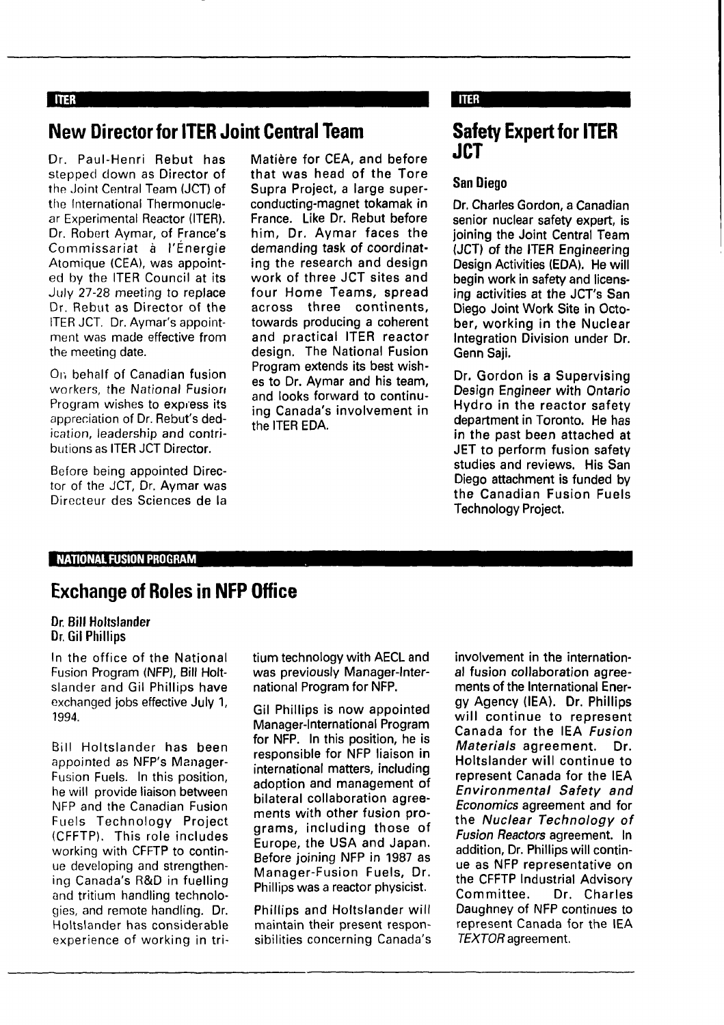### **TITER**

# **New Director for ITER Joint Central Team**

Dr. Paul-Henri **Rebut has** stepped down as Director **of** the Joint Central Team (JCT) of the International Thermonuclear Experimental Reactor (ITER). Dr. Robert Aymar, of France's Commissariat à l'Énergie Atomique (CEA), was appointed by the ITER Council at its July 27-28 meeting to replace Dr. Rebut as Director of the ITER JCT. Dr. Aymar's appointment was made effective from the meeting date.

Or, behalf of Canadian **fusion** workers, the National Fusion Program wishes to express its appreciation of Dr. Rebut's dedication, leadership and contributions as ITER **JCT** Director.

Before being appointed Director of the JCT, Dr. Aymar was Directeur des Sciences de la

**Matière for CEA, and before that was head of the Tore Supra Project, a large superconducting-magnet tokamak in France. Like Dr. Rebut before him, Dr. Aymar faces the demanding task of coordinating the research and design work of three JCT sites and four Home Teams, spread across three continents, towards producing a coherent** and **practical ITER reactor design. The National Fusion Program extends its best wishes to Dr. Aymar and his team,** and **looks forward to continuing Canada's involvement in the ITER EDA.**

### **TTER**

## **Safety Expert for ITER JCT**

### **San Diego**

**Dr. Charles Gordon, a Canadian senior nuclear safety expert, is joining the Joint Central Team (JCT) of the ITER Engineering Design Activities (EDA). He will begin work in safety and licensing activities at the JCT's San Diego Joint Work Site in October, working in the Nuclear Integration Division under Dr. Genn Saji.**

**Dr. Gordon is a Supervising Design Engineer with Ontario Hydro in the reactor safety department in Toronto. He has in the past been attached at JET to perform fusion safety studies and reviews. His San Diego attachment is funded by the Canadian Fusion Fuels Technology Project.**

### **NATIONAL FUSION PROGRAM**

### **Exchange of Roles in NFP Office**

#### **Dr. Bill Holtslander Dr. Gil Phillips**

In the office of the National Fusion Program (NFP), Bill Holtslander and Gil Phillips have exchanged jobs effective July 1, 1994.

Bill Holtslander has been appointed as NFP's Manager-Fusion Fuels. In this position, he will provide liaison between NFP and the Canadian Fusion Fuels Technology Project (CFFTP). This role includes working with CFFTP to continue developing and strengthening Canada's R&D in fuelling and tritium handling technologies, and remote handling. Dr. Holtslander has considerable experience of working in tri**tium technology with AECL and was previously Manager-International Program for NFP.**

**Gil Phillips is now appointed Manager-International Program for NFP. In this position, he is responsible for NFP liaison in international matters, including adoption and management of bilateral collaboration agreements with other fusion programs, including those of Europe, the USA and Japan. Before joining NFP in 1987 as Manager-Fusion Fuels, Dr.** Phillips was a reactor physicist.

Phillips and **Holtslander** will maintain their present responsibilities concerning Canada's **involvement in the international fusion collaboration agreements of the International Energy Agency (IEA). Dr. Phillips will continue to represent Canada for the IEA Fusion Materials agreement. Dr. Holtslander will continue to represent Canada for the IEA Environmental Safety and Economics agreement and for the Nuclear Technology of Fusion Reactors agreement. In addition, Dr. Phillips will continue as NFP representative on the CFFTP Industrial Advisory Committee. Dr. Charles Daughney of NFP** continues **to** represent Canada for the **IEA** TEXTOR agreement.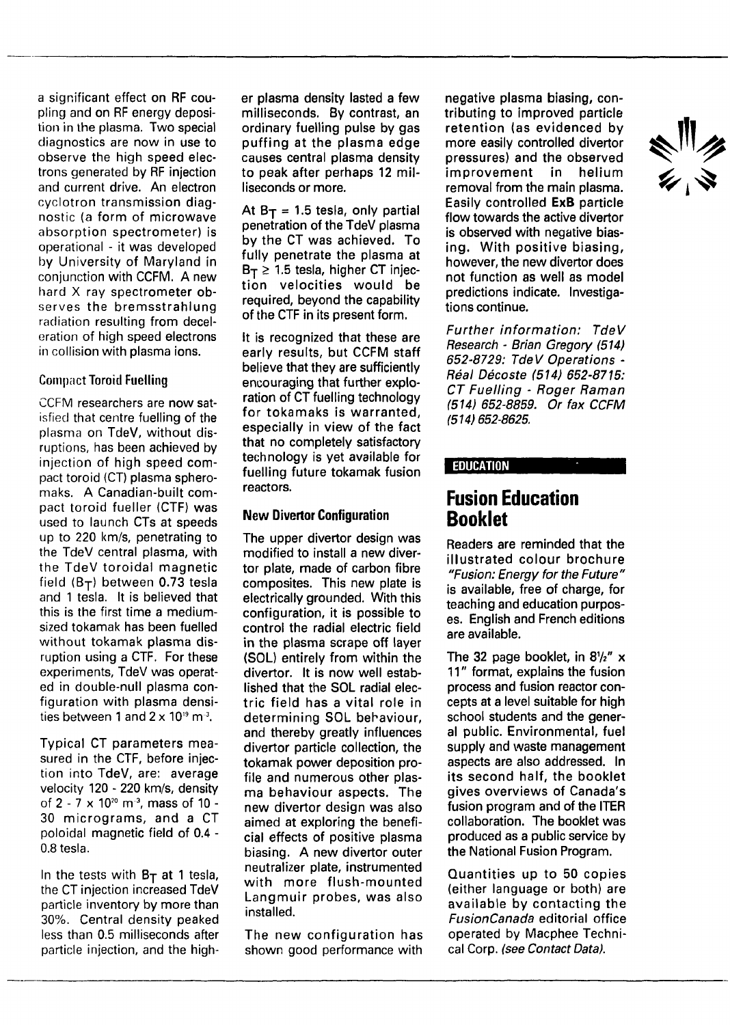a significant effect on RF coupling and on RF energy deposition in the plasma. Two special diagnostics are now in use to observe the high speed electrons generated by RF injection and current drive. An electron cyclotron transmission diagnostic (a form of microwave absorption spectrometer) is operational - it was developed by University of Maryland in conjunction with CCFM. A new hard X ray spectrometer observes the bremsstrahlung radiation resulting from deceleration of high speed electrons in collision with plasma ions.

### Compact Toroid Fuelling

CCFM researchers are now satisfied that centre fuelling of the plasma on TdeV, without disruptions, has been achieved by injection of high speed compact toroid (CT) plasma spheromaks. A Canadian-built compact toroid fueller (CTF) was used to launch CTs at speeds up to 220 km/s, penetrating to the TdeV central plasma, with the TdeV toroidal magnetic field ( $B_T$ ) between 0.73 tesla and 1 tesla. It is believed that this is the first time a mediumsized tokamak has been fuelled without tokamak plasma disruption using a CTF. For these experiments, TdeV was operated in double-null plasma configuration with plasma densinguranon with plasma uchsi<br>ties between 1 and 2 x 1019 m<sup>3</sup>

Typical CT parameters measured in the CTF, before injection into TdeV, are: average velocity 120 - 220 km/s, density of 2 -  $7 \times 10^{20}$  m<sup>-3</sup>, mass of 10 -30 micrograms, and a CT poloidal magnetic field of 0.4 - 0.8 tesla.

In the tests with  $B_T$  at 1 tesla, the CT injection increased TdeV particle inventory by more than 30%. Central density peaked less than 0.5 milliseconds after particle injection, and the higher plasma density lasted a few milliseconds. By contrast, an ordinary fuelling pulse by gas puffing at the plasma edge causes central plasma density to peak after perhaps 12 milliseconds or more.

At  $B_T = 1.5$  tesla, only partial penetration of the TdeV plasma by the CT was achieved. To fully penetrate the plasma at  $B_T \geq 1.5$  tesla, higher CT injection velocities would be required, beyond the capability of the CTF in its present form.

It is recognized that these are early results, but CCFM staff believe that they are sufficiently encouraging that further exploration of CT fuelling technology for tokamaks is warranted, especially in view of the fact that no completely satisfactory technology is yet available for fuelling future tokamak fusion reactors.

### **New Divertor Configuration**

The upper divertor design was modified to install a new divertor plate, made of carbon fibre composites. This new plate is electrically grounded. With this configuration, it is possible to control the radial electric field in the plasma scrape off layer (SOL) entirely from within the divertor. It is now well established that the SOL radial electric field has a vital role in determining SOL behaviour, and thereby greatly influences divertor particle collection, the tokamak power deposition profile and numerous other plasma behaviour aspects. The new divertor design was also aimed at exploring the beneficial effects of positive plasma biasing. A new divertor outer neutralizer plate, instrumented with more flush-mounted Langmuir probes, was also installed.

The new configuration has shown good performance with

negative plasma biasing, contributing to improved particle retention (as evidenced by more easily controlled divertor pressures) and the observed improvement in helium removal from the main plasma. Easily controlled **ExB** particle flow towards the active divertor is observed with negative biasing. With positive biasing, however, the new divertor does not function as well as model predictions indicate. Investigations continue.

Further information: TdeV Research - Brian Gregory (514) 652-8729: TdeV Operations - Real Décoste (514) 652-8715: CT Fuelling - Roger Raman (514) 652-8859. Or fax CCFM (514) 652-8625.

### **EDUCATION**

### **Fusion Education Booklet**

Readers are reminded that the illustrated colour brochure "Fusion: Energy for the Future" is available, free of charge, for teaching and education purposes. English and French editions are available.

The 32 page booklet, in  $8\frac{1}{2}$ " x 11" format, explains the fusion process and fusion reactor concepts at a level suitable for high school students and the general public. Environmental, fuel supply and waste management aspects are also addressed. In its second half, the booklet gives overviews of Canada's fusion program and of the ITER collaboration. The booklet was produced as a public service by the National Fusion Program.

Quantities up to 50 copies (either language or both) are available by contacting the FusionCanada editorial office operated by Macphee Technical Corp. (see Contact Data).